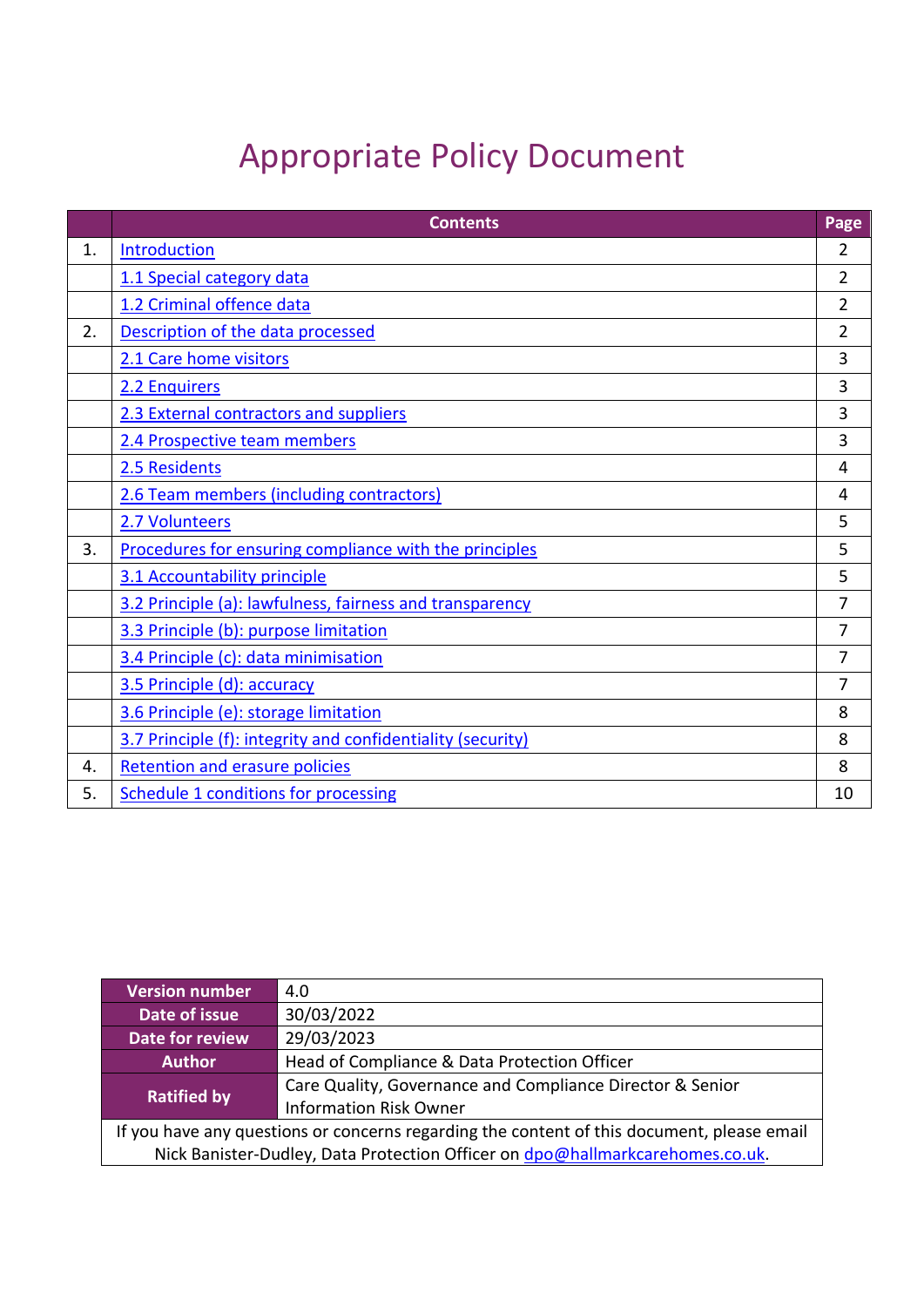# Appropriate Policy Document

|    | <b>Contents</b>                                             | Page           |
|----|-------------------------------------------------------------|----------------|
| 1. | Introduction                                                | $\overline{2}$ |
|    | 1.1 Special category data                                   | $\overline{2}$ |
|    | 1.2 Criminal offence data                                   | 2              |
| 2. | Description of the data processed                           | $\overline{2}$ |
|    | 2.1 Care home visitors                                      | 3              |
|    | 2.2 Enquirers                                               | 3              |
|    | 2.3 External contractors and suppliers                      | 3              |
|    | 2.4 Prospective team members                                | 3              |
|    | 2.5 Residents                                               | 4              |
|    | 2.6 Team members (including contractors)                    | 4              |
|    | 2.7 Volunteers                                              | 5              |
| 3. | Procedures for ensuring compliance with the principles      | 5              |
|    | 3.1 Accountability principle                                | 5              |
|    | 3.2 Principle (a): lawfulness, fairness and transparency    | $\overline{7}$ |
|    | 3.3 Principle (b): purpose limitation                       | $\overline{7}$ |
|    | 3.4 Principle (c): data minimisation                        | $\overline{7}$ |
|    | 3.5 Principle (d): accuracy                                 | 7              |
|    | 3.6 Principle (e): storage limitation                       | 8              |
|    | 3.7 Principle (f): integrity and confidentiality (security) | 8              |
| 4. | <b>Retention and erasure policies</b>                       | 8              |
| 5. | <b>Schedule 1 conditions for processing</b>                 | 10             |

| <b>Version number</b>                                                                      | 4.0                                                       |  |  |  |
|--------------------------------------------------------------------------------------------|-----------------------------------------------------------|--|--|--|
| Date of issue                                                                              | 30/03/2022                                                |  |  |  |
| <b>Date for review</b>                                                                     | 29/03/2023                                                |  |  |  |
| <b>Author</b>                                                                              | Head of Compliance & Data Protection Officer              |  |  |  |
| <b>Ratified by</b>                                                                         | Care Quality, Governance and Compliance Director & Senior |  |  |  |
|                                                                                            | <b>Information Risk Owner</b>                             |  |  |  |
| If you have any questions or concerns regarding the content of this document, please email |                                                           |  |  |  |
| Nick Banister-Dudley, Data Protection Officer on dpo@hallmarkcarehomes.co.uk.              |                                                           |  |  |  |
|                                                                                            |                                                           |  |  |  |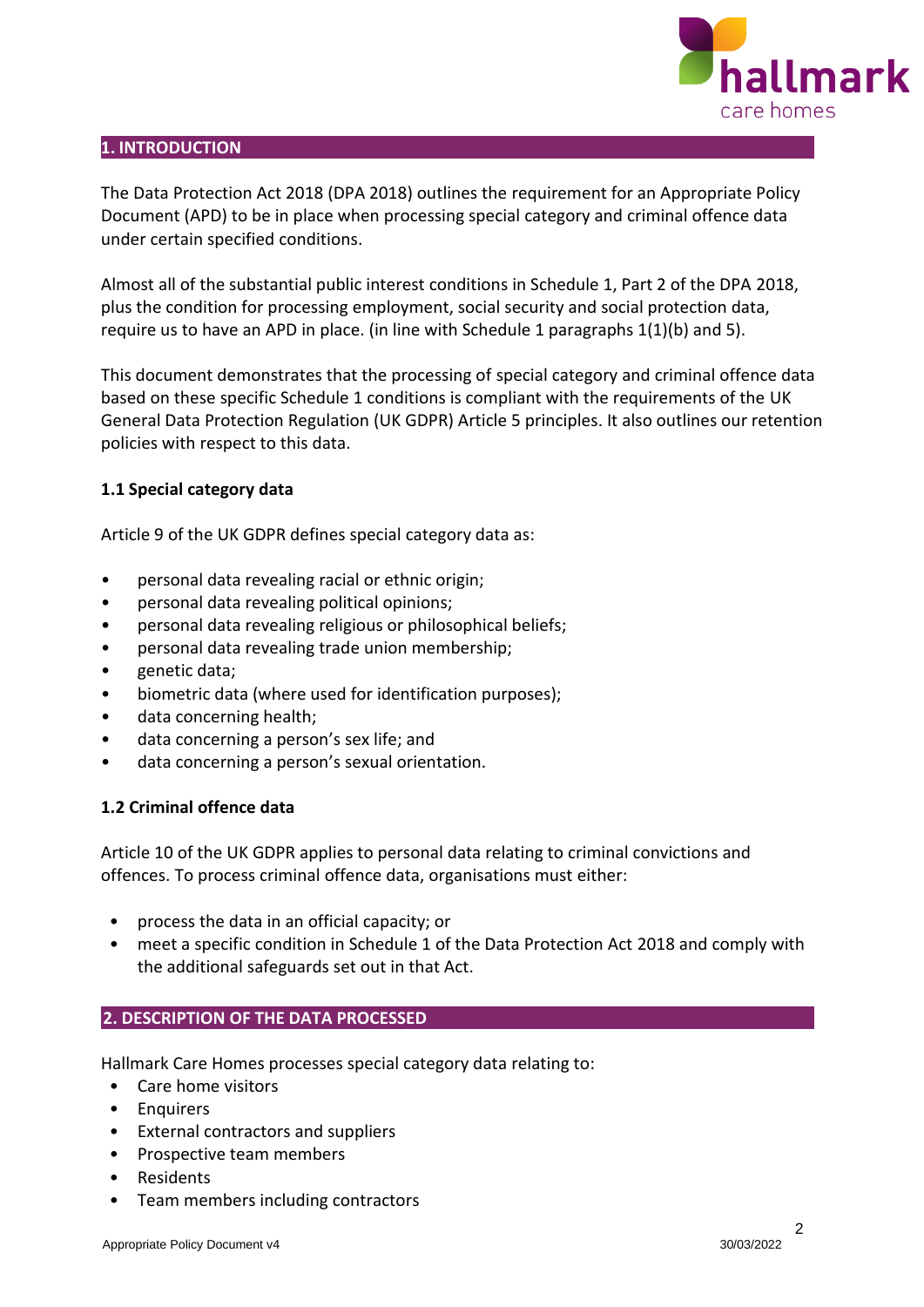

## <span id="page-1-0"></span>**1. INTRODUCTION**

The Data Protection Act 2018 (DPA 2018) outlines the requirement for an Appropriate Policy Document (APD) to be in place when processing special category and criminal offence data under certain specified conditions.

Almost all of the substantial public interest conditions in Schedule 1, Part 2 of the DPA 2018, plus the condition for processing employment, social security and social protection data, require us to have an APD in place. (in line with Schedule 1 paragraphs 1(1)(b) and 5).

This document demonstrates that the processing of special category and criminal offence data based on these specific Schedule 1 conditions is compliant with the requirements of the UK General Data Protection Regulation (UK GDPR) Article 5 principles. It also outlines our retention policies with respect to this data.

## <span id="page-1-1"></span>**1.1 Special category data**

Article 9 of the UK GDPR defines special category data as:

- personal data revealing racial or ethnic origin;
- personal data revealing political opinions;
- personal data revealing religious or philosophical beliefs;
- personal data revealing trade union membership;
- genetic data;
- biometric data (where used for identification purposes);
- data concerning health;
- data concerning a person's sex life; and
- data concerning a person's sexual orientation.

#### <span id="page-1-2"></span>**1.2 Criminal offence data**

Article 10 of the UK GDPR applies to personal data relating to criminal convictions and offences. To process criminal offence data, organisations must either:

- process the data in an official capacity; or
- meet a specific condition in Schedule 1 of the Data Protection Act 2018 and comply with the additional safeguards set out in that Act.

#### <span id="page-1-3"></span>**2. DESCRIPTION OF THE DATA PROCESSED**

Hallmark Care Homes processes special category data relating to:

- Care home visitors
- Enquirers
- External contractors and suppliers
- Prospective team members
- Residents
- Team members including contractors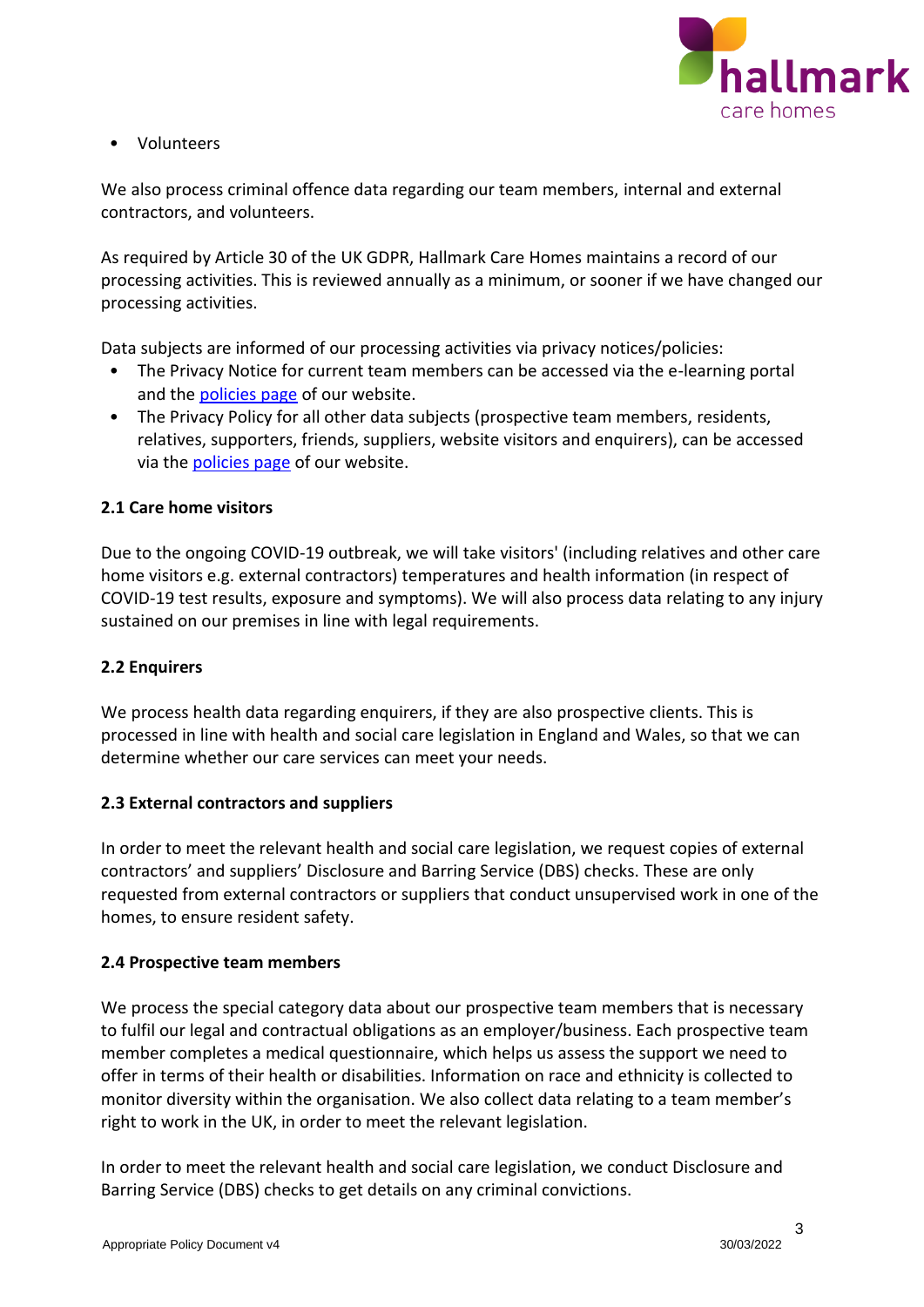

• Volunteers

We also process criminal offence data regarding our team members, internal and external contractors, and volunteers.

As required by Article 30 of the UK GDPR, Hallmark Care Homes maintains a record of our processing activities. This is reviewed annually as a minimum, or sooner if we have changed our processing activities.

Data subjects are informed of our processing activities via privacy notices/policies:

- The Privacy Notice for current team members can be accessed via the e-learning portal and the [policies page](https://www.hallmarkcarehomes.co.uk/policies/) of our website.
- The Privacy Policy for all other data subjects (prospective team members, residents, relatives, supporters, friends, suppliers, website visitors and enquirers), can be accessed via the [policies page](https://www.hallmarkcarehomes.co.uk/policies/) of our website.

# <span id="page-2-0"></span>**2.1 Care home visitors**

Due to the ongoing COVID-19 outbreak, we will take visitors' (including relatives and other care home visitors e.g. external contractors) temperatures and health information (in respect of COVID-19 test results, exposure and symptoms). We will also process data relating to any injury sustained on our premises in line with legal requirements.

#### <span id="page-2-1"></span>**2.2 Enquirers**

We process health data regarding enquirers, if they are also prospective clients. This is processed in line with health and social care legislation in England and Wales, so that we can determine whether our care services can meet your needs.

#### <span id="page-2-2"></span>**2.3 External contractors and suppliers**

In order to meet the relevant health and social care legislation, we request copies of external contractors' and suppliers' Disclosure and Barring Service (DBS) checks. These are only requested from external contractors or suppliers that conduct unsupervised work in one of the homes, to ensure resident safety.

# <span id="page-2-3"></span>**2.4 Prospective team members**

We process the special category data about our prospective team members that is necessary to fulfil our legal and contractual obligations as an employer/business. Each prospective team member completes a medical questionnaire, which helps us assess the support we need to offer in terms of their health or disabilities. Information on race and ethnicity is collected to monitor diversity within the organisation. We also collect data relating to a team member's right to work in the UK, in order to meet the relevant legislation.

In order to meet the relevant health and social care legislation, we conduct Disclosure and Barring Service (DBS) checks to get details on any criminal convictions.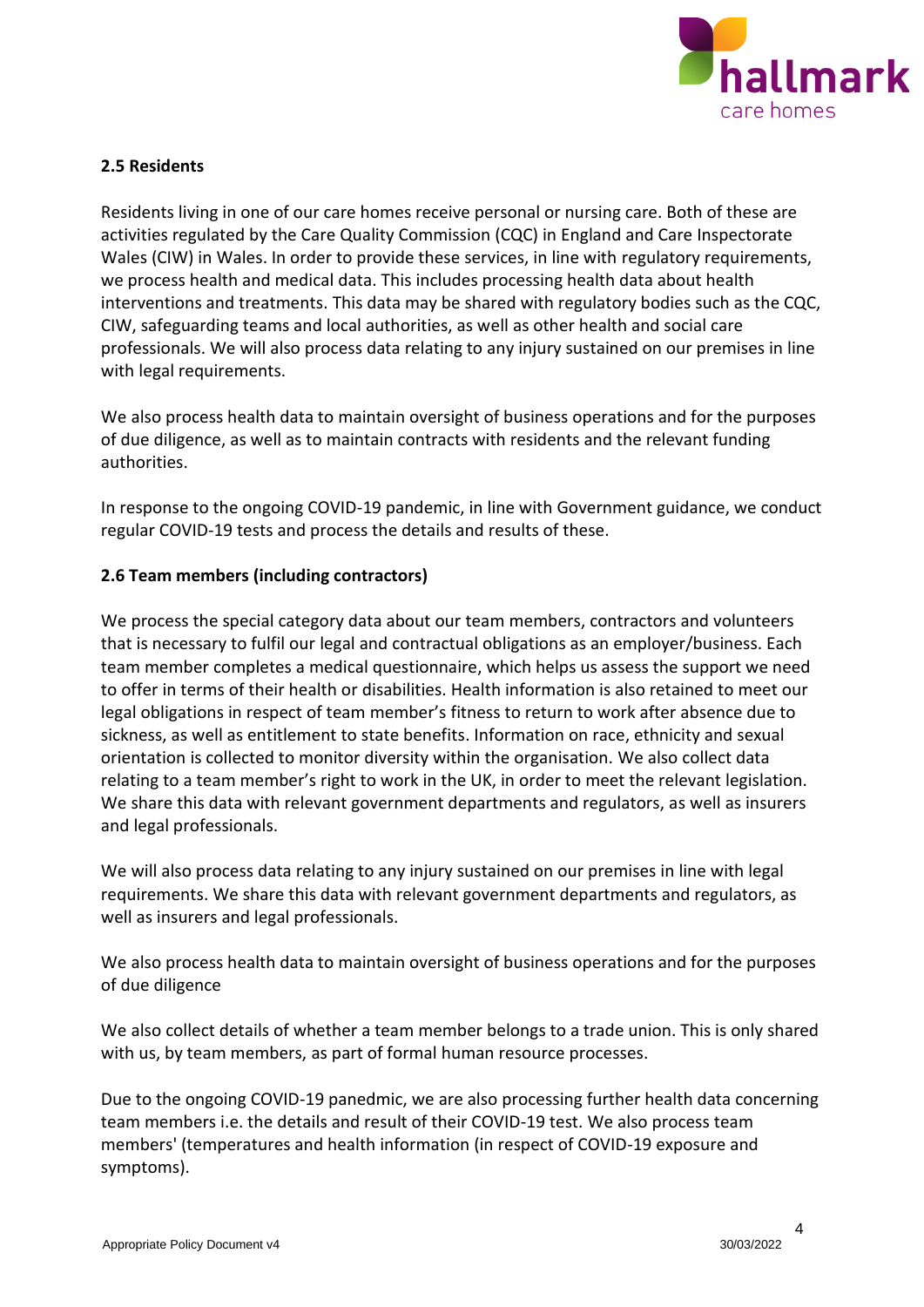

## <span id="page-3-0"></span>**2.5 Residents**

Residents living in one of our care homes receive personal or nursing care. Both of these are activities regulated by the Care Quality Commission (CQC) in England and Care Inspectorate Wales (CIW) in Wales. In order to provide these services, in line with regulatory requirements, we process health and medical data. This includes processing health data about health interventions and treatments. This data may be shared with regulatory bodies such as the CQC, CIW, safeguarding teams and local authorities, as well as other health and social care professionals. We will also process data relating to any injury sustained on our premises in line with legal requirements.

We also process health data to maintain oversight of business operations and for the purposes of due diligence, as well as to maintain contracts with residents and the relevant funding authorities.

In response to the ongoing COVID-19 pandemic, in line with Government guidance, we conduct regular COVID-19 tests and process the details and results of these.

## <span id="page-3-1"></span>**2.6 Team members (including contractors)**

We process the special category data about our team members, contractors and volunteers that is necessary to fulfil our legal and contractual obligations as an employer/business. Each team member completes a medical questionnaire, which helps us assess the support we need to offer in terms of their health or disabilities. Health information is also retained to meet our legal obligations in respect of team member's fitness to return to work after absence due to sickness, as well as entitlement to state benefits. Information on race, ethnicity and sexual orientation is collected to monitor diversity within the organisation. We also collect data relating to a team member's right to work in the UK, in order to meet the relevant legislation. We share this data with relevant government departments and regulators, as well as insurers and legal professionals.

We will also process data relating to any injury sustained on our premises in line with legal requirements. We share this data with relevant government departments and regulators, as well as insurers and legal professionals.

We also process health data to maintain oversight of business operations and for the purposes of due diligence

We also collect details of whether a team member belongs to a trade union. This is only shared with us, by team members, as part of formal human resource processes.

Due to the ongoing COVID-19 panedmic, we are also processing further health data concerning team members i.e. the details and result of their COVID-19 test. We also process team members' (temperatures and health information (in respect of COVID-19 exposure and symptoms).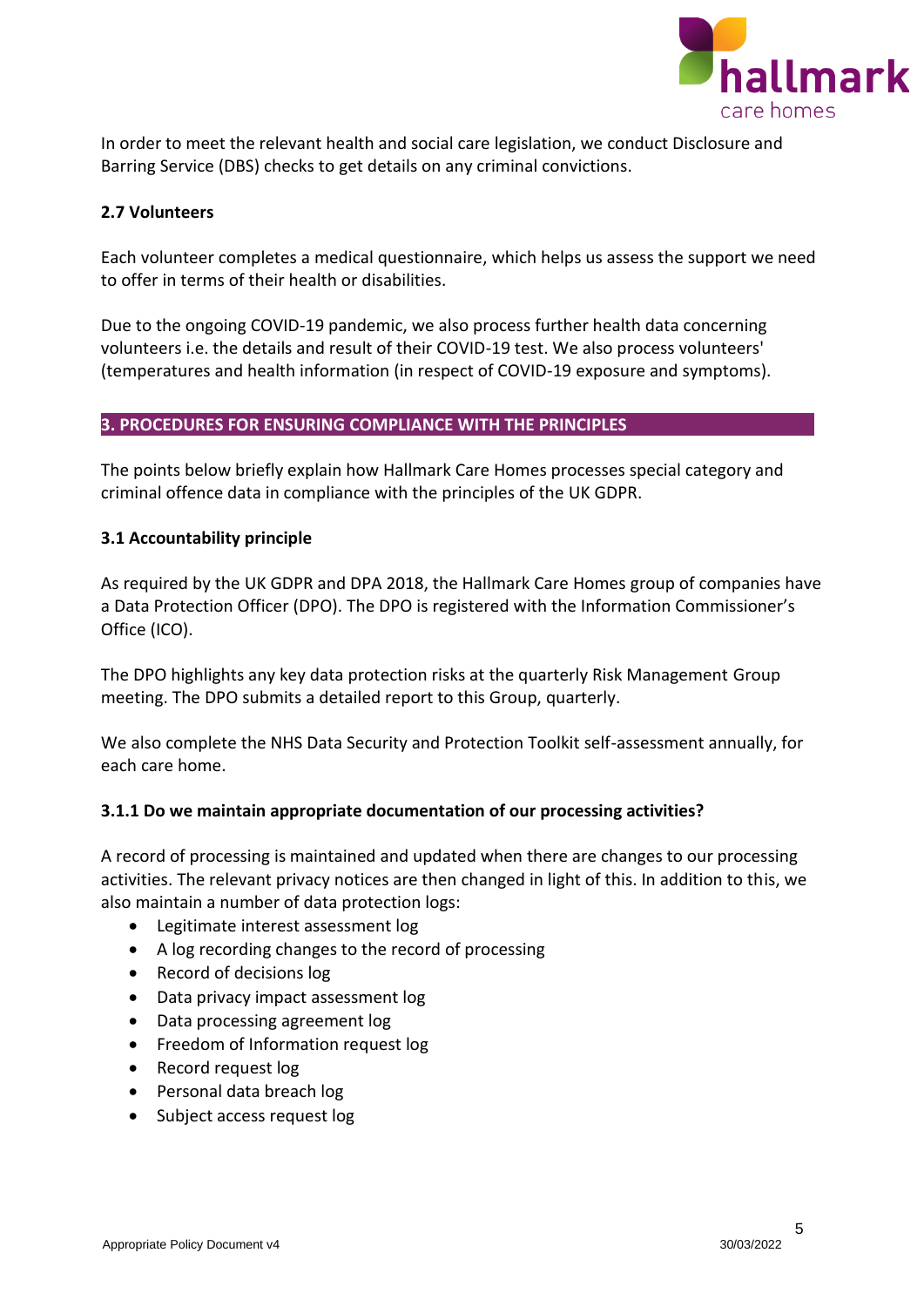

In order to meet the relevant health and social care legislation, we conduct Disclosure and Barring Service (DBS) checks to get details on any criminal convictions.

## <span id="page-4-0"></span>**2.7 Volunteers**

Each volunteer completes a medical questionnaire, which helps us assess the support we need to offer in terms of their health or disabilities.

Due to the ongoing COVID-19 pandemic, we also process further health data concerning volunteers i.e. the details and result of their COVID-19 test. We also process volunteers' (temperatures and health information (in respect of COVID-19 exposure and symptoms).

#### <span id="page-4-1"></span>**3. PROCEDURES FOR ENSURING COMPLIANCE WITH THE PRINCIPLES**

The points below briefly explain how Hallmark Care Homes processes special category and criminal offence data in compliance with the principles of the UK GDPR.

#### <span id="page-4-2"></span>**3.1 Accountability principle**

As required by the UK GDPR and DPA 2018, the Hallmark Care Homes group of companies have a Data Protection Officer (DPO). The DPO is registered with the Information Commissioner's Office (ICO).

The DPO highlights any key data protection risks at the quarterly Risk Management Group meeting. The DPO submits a detailed report to this Group, quarterly.

We also complete the NHS Data Security and Protection Toolkit self-assessment annually, for each care home.

#### **3.1.1 Do we maintain appropriate documentation of our processing activities?**

A record of processing is maintained and updated when there are changes to our processing activities. The relevant privacy notices are then changed in light of this. In addition to this, we also maintain a number of data protection logs:

- Legitimate interest assessment log
- A log recording changes to the record of processing
- Record of decisions log
- Data privacy impact assessment log
- Data processing agreement log
- Freedom of Information request log
- Record request log
- Personal data breach log
- Subject access request log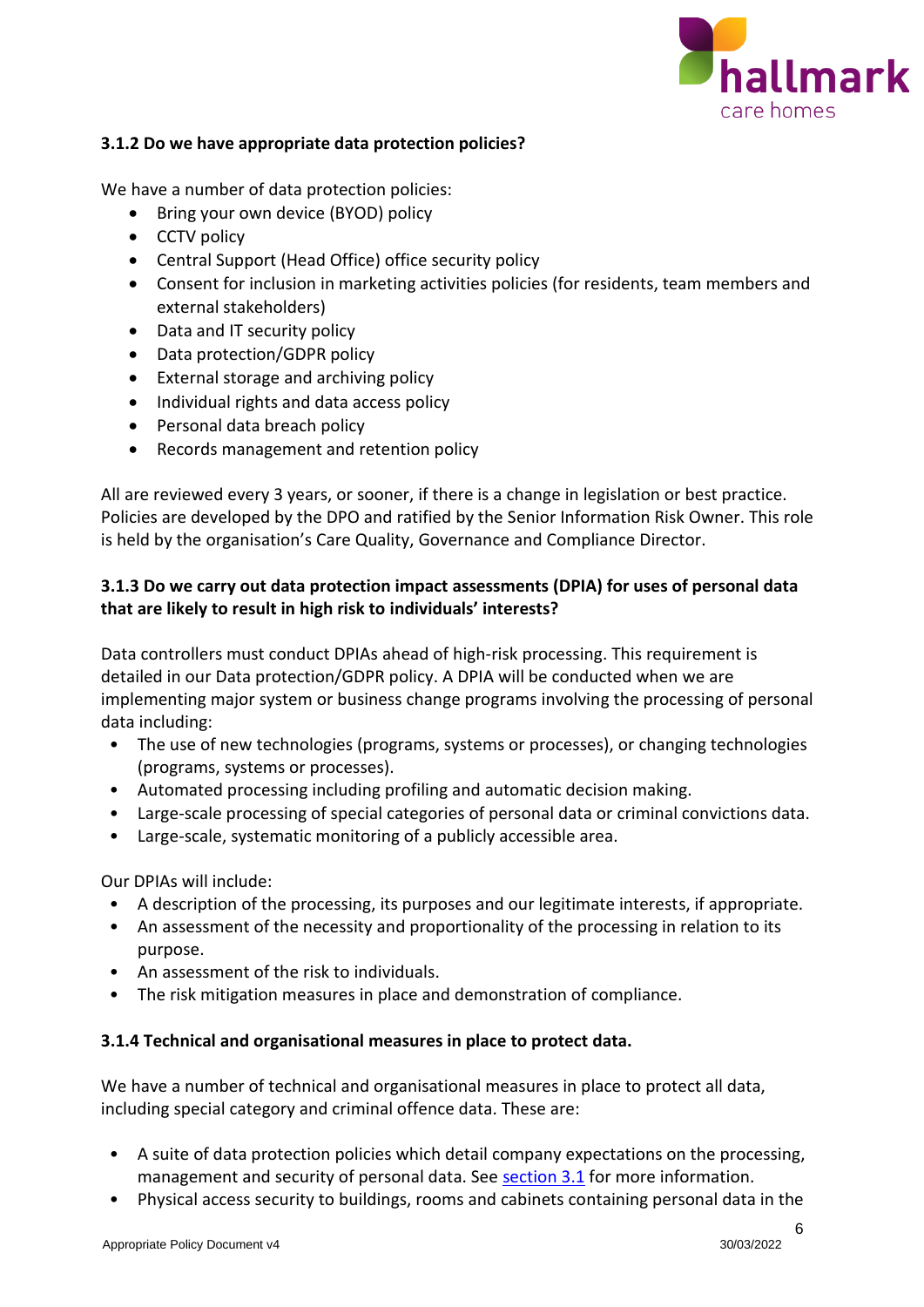

## **3.1.2 Do we have appropriate data protection policies?**

We have a number of data protection policies:

- Bring your own device (BYOD) policy
- CCTV policy
- Central Support (Head Office) office security policy
- Consent for inclusion in marketing activities policies (for residents, team members and external stakeholders)
- Data and IT security policy
- Data protection/GDPR policy
- External storage and archiving policy
- Individual rights and data access policy
- Personal data breach policy
- Records management and retention policy

All are reviewed every 3 years, or sooner, if there is a change in legislation or best practice. Policies are developed by the DPO and ratified by the Senior Information Risk Owner. This role is held by the organisation's Care Quality, Governance and Compliance Director.

# **3.1.3 Do we carry out data protection impact assessments (DPIA) for uses of personal data that are likely to result in high risk to individuals' interests?**

Data controllers must conduct DPIAs ahead of high-risk processing. This requirement is detailed in our Data protection/GDPR policy. A DPIA will be conducted when we are implementing major system or business change programs involving the processing of personal data including:

- The use of new technologies (programs, systems or processes), or changing technologies (programs, systems or processes).
- Automated processing including profiling and automatic decision making.
- Large-scale processing of special categories of personal data or criminal convictions data.
- Large-scale, systematic monitoring of a publicly accessible area.

Our DPIAs will include:

- A description of the processing, its purposes and our legitimate interests, if appropriate.
- An assessment of the necessity and proportionality of the processing in relation to its purpose.
- An assessment of the risk to individuals.
- The risk mitigation measures in place and demonstration of compliance.

# **3.1.4 Technical and organisational measures in place to protect data.**

We have a number of technical and organisational measures in place to protect all data, including special category and criminal offence data. These are:

- A suite of data protection policies which detail company expectations on the processing, management and security of personal data. See [section 3.1](#page-4-2) for more information.
- Physical access security to buildings, rooms and cabinets containing personal data in the

6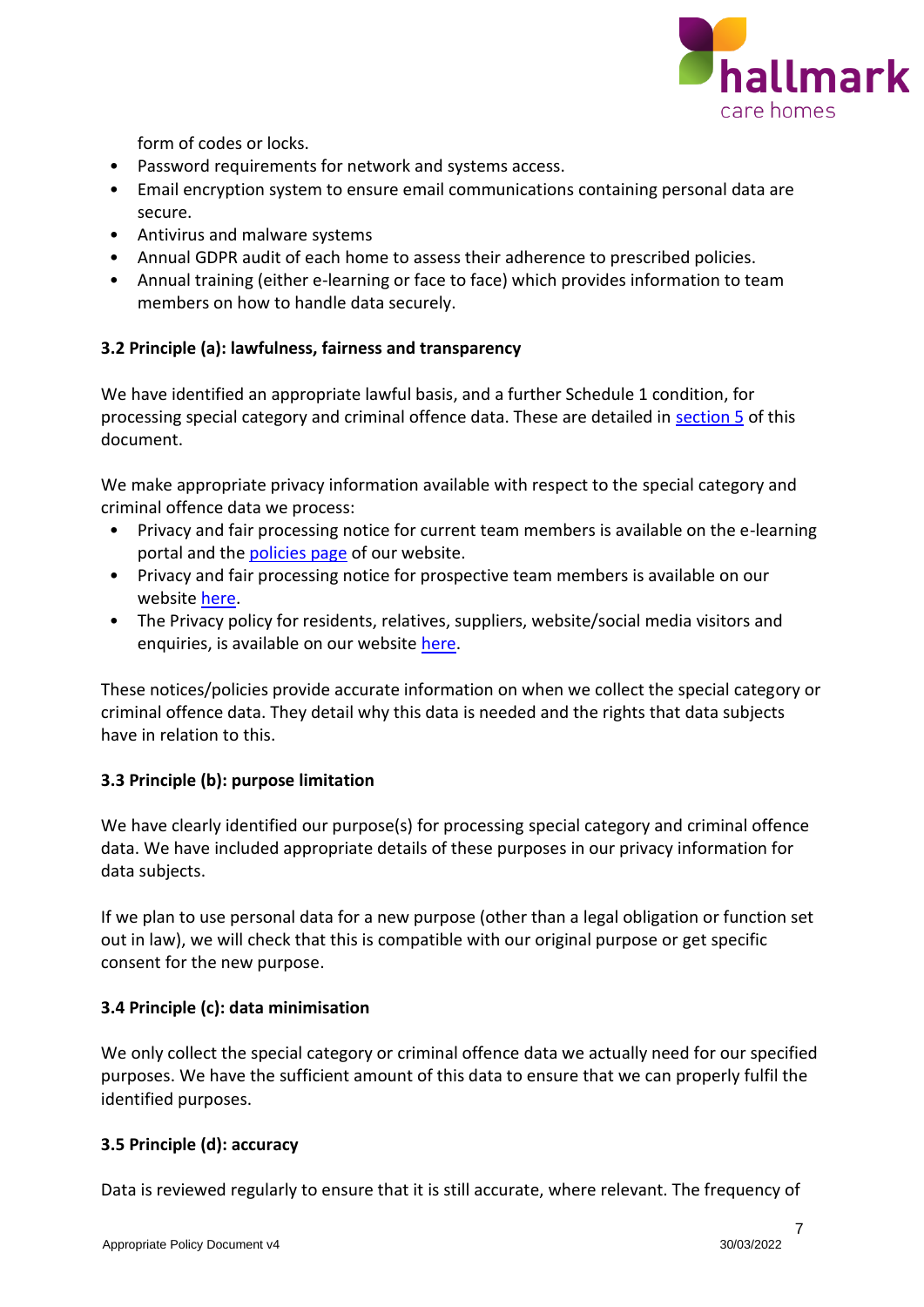

form of codes or locks.

- Password requirements for network and systems access.
- Email encryption system to ensure email communications containing personal data are secure.
- Antivirus and malware systems
- Annual GDPR audit of each home to assess their adherence to prescribed policies.
- Annual training (either e-learning or face to face) which provides information to team members on how to handle data securely.

# <span id="page-6-0"></span>**3.2 Principle (a): lawfulness, fairness and transparency**

We have identified an appropriate lawful basis, and a further Schedule 1 condition, for processing special category and criminal offence data. These are detailed in [section 5](#page-9-0) of this document.

We make appropriate privacy information available with respect to the special category and criminal offence data we process:

- Privacy and fair processing notice for current team members is available on the e-learning portal and th[e policies page](https://www.hallmarkcarehomes.co.uk/policies/) of our website.
- Privacy and fair processing notice for prospective team members is available on our website [here.](https://www.hallmarkcarehomes.co.uk/policies/)
- The Privacy policy for residents, relatives, suppliers, website/social media visitors and enquiries, is available on our website [here.](https://www.hallmarkcarehomes.co.uk/policies/)

These notices/policies provide accurate information on when we collect the special category or criminal offence data. They detail why this data is needed and the rights that data subjects have in relation to this.

# <span id="page-6-1"></span>**3.3 Principle (b): purpose limitation**

We have clearly identified our purpose(s) for processing special category and criminal offence data. We have included appropriate details of these purposes in our privacy information for data subjects.

If we plan to use personal data for a new purpose (other than a legal obligation or function set out in law), we will check that this is compatible with our original purpose or get specific consent for the new purpose.

# <span id="page-6-2"></span>**3.4 Principle (c): data minimisation**

We only collect the special category or criminal offence data we actually need for our specified purposes. We have the sufficient amount of this data to ensure that we can properly fulfil the identified purposes.

# <span id="page-6-3"></span>**3.5 Principle (d): accuracy**

Data is reviewed regularly to ensure that it is still accurate, where relevant. The frequency of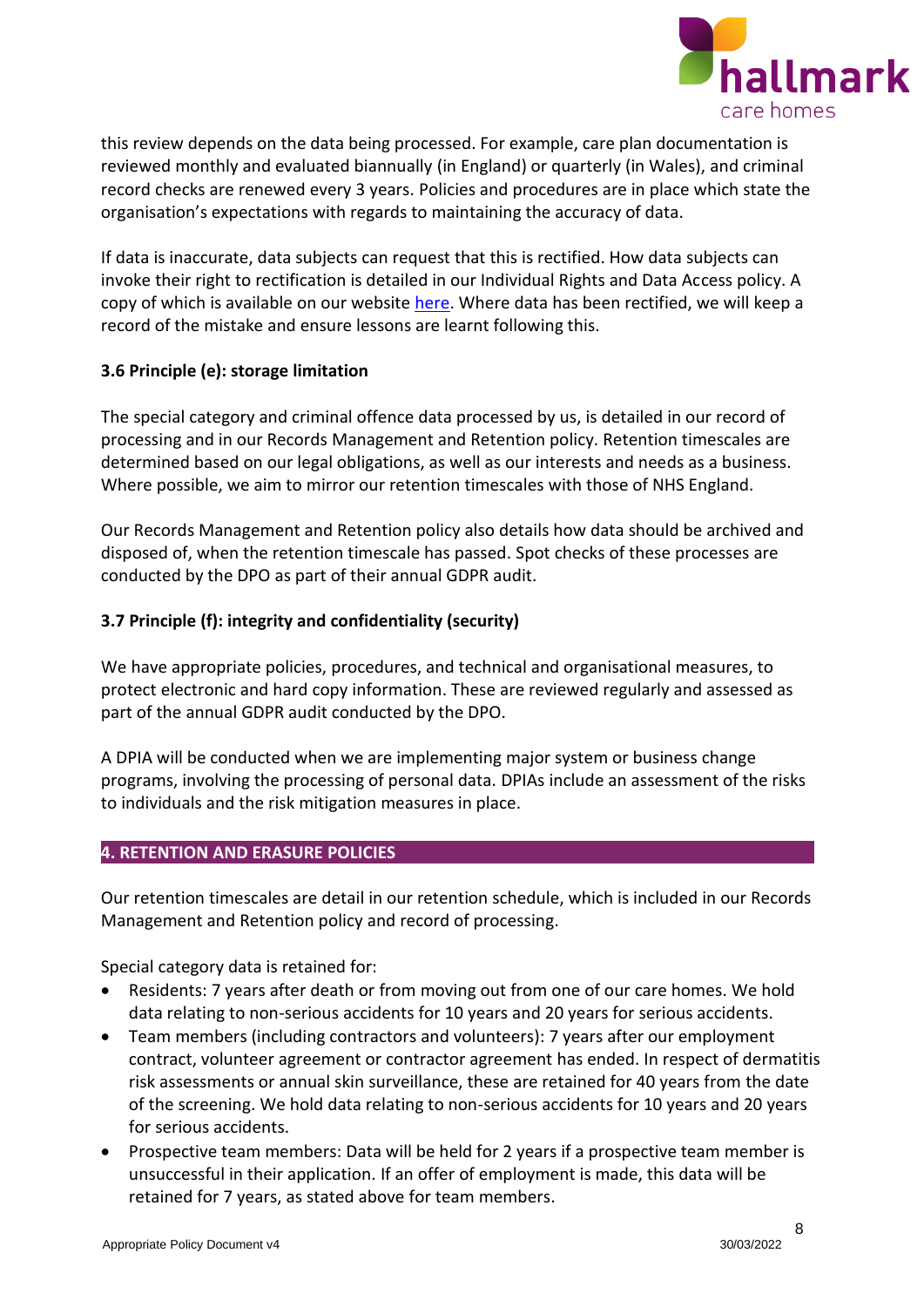

this review depends on the data being processed. For example, care plan documentation is reviewed monthly and evaluated biannually (in England) or quarterly (in Wales), and criminal record checks are renewed every 3 years. Policies and procedures are in place which state the organisation's expectations with regards to maintaining the accuracy of data.

If data is inaccurate, data subjects can request that this is rectified. How data subjects can invoke their right to rectification is detailed in our Individual Rights and Data Access policy. A copy of which is available on our website [here.](https://www.hallmarkcarehomes.co.uk/policies/) Where data has been rectified, we will keep a record of the mistake and ensure lessons are learnt following this.

## <span id="page-7-0"></span>**3.6 Principle (e): storage limitation**

The special category and criminal offence data processed by us, is detailed in our record of processing and in our Records Management and Retention policy. Retention timescales are determined based on our legal obligations, as well as our interests and needs as a business. Where possible, we aim to mirror our retention timescales with those of NHS England.

Our Records Management and Retention policy also details how data should be archived and disposed of, when the retention timescale has passed. Spot checks of these processes are conducted by the DPO as part of their annual GDPR audit.

## <span id="page-7-1"></span>**3.7 Principle (f): integrity and confidentiality (security)**

We have appropriate policies, procedures, and technical and organisational measures, to protect electronic and hard copy information. These are reviewed regularly and assessed as part of the annual GDPR audit conducted by the DPO.

A DPIA will be conducted when we are implementing major system or business change programs, involving the processing of personal data. DPIAs include an assessment of the risks to individuals and the risk mitigation measures in place.

#### <span id="page-7-2"></span>**4. RETENTION AND ERASURE POLICIES**

Our retention timescales are detail in our retention schedule, which is included in our Records Management and Retention policy and record of processing.

Special category data is retained for:

- Residents: 7 years after death or from moving out from one of our care homes. We hold data relating to non-serious accidents for 10 years and 20 years for serious accidents.
- Team members (including contractors and volunteers): 7 years after our employment contract, volunteer agreement or contractor agreement has ended. In respect of dermatitis risk assessments or annual skin surveillance, these are retained for 40 years from the date of the screening. We hold data relating to non-serious accidents for 10 years and 20 years for serious accidents.
- Prospective team members: Data will be held for 2 years if a prospective team member is unsuccessful in their application. If an offer of employment is made, this data will be retained for 7 years, as stated above for team members.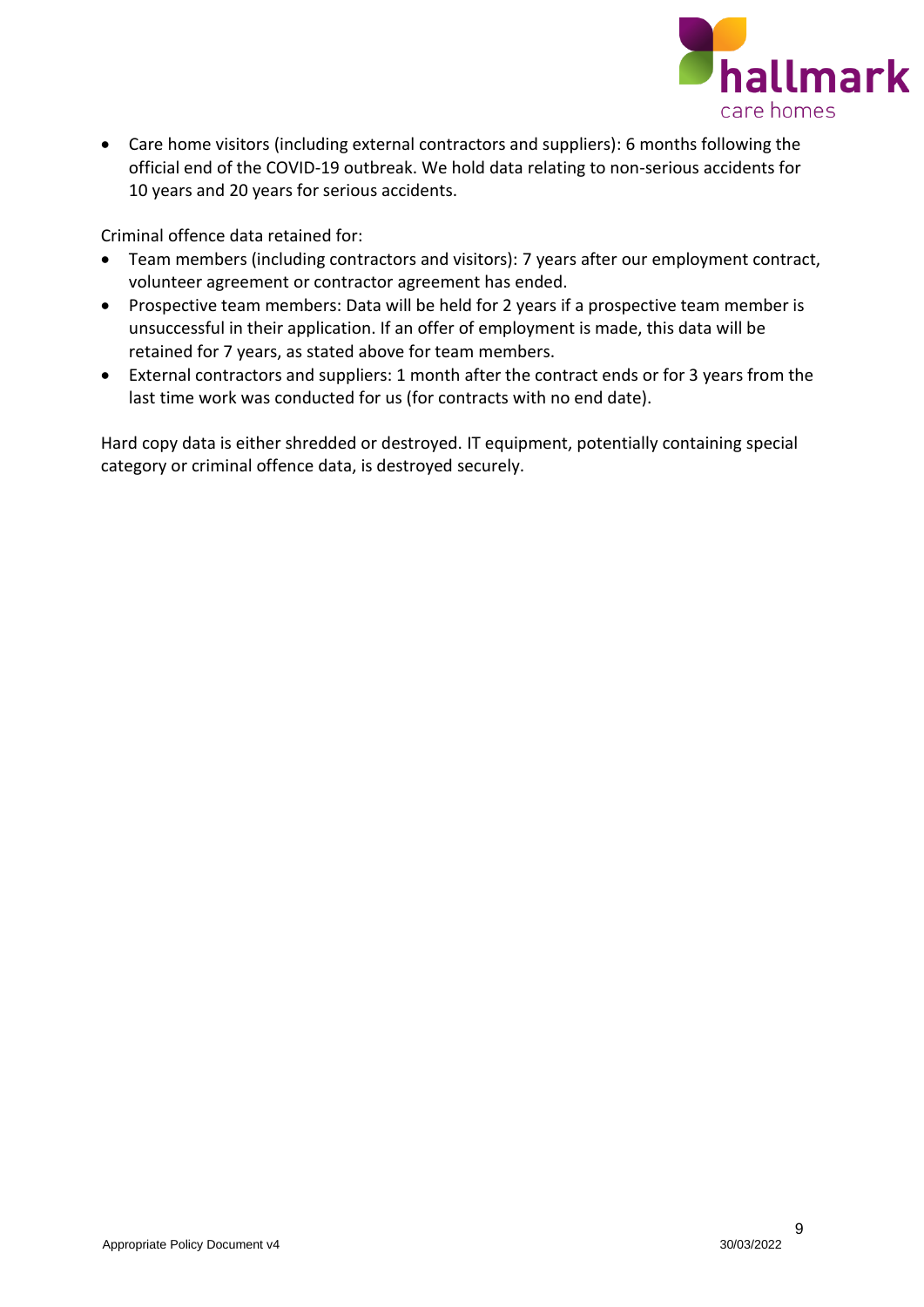

• Care home visitors (including external contractors and suppliers): 6 months following the official end of the COVID-19 outbreak. We hold data relating to non-serious accidents for 10 years and 20 years for serious accidents.

Criminal offence data retained for:

- Team members (including contractors and visitors): 7 years after our employment contract, volunteer agreement or contractor agreement has ended.
- Prospective team members: Data will be held for 2 years if a prospective team member is unsuccessful in their application. If an offer of employment is made, this data will be retained for 7 years, as stated above for team members.
- External contractors and suppliers: 1 month after the contract ends or for 3 years from the last time work was conducted for us (for contracts with no end date).

Hard copy data is either shredded or destroyed. IT equipment, potentially containing special category or criminal offence data, is destroyed securely.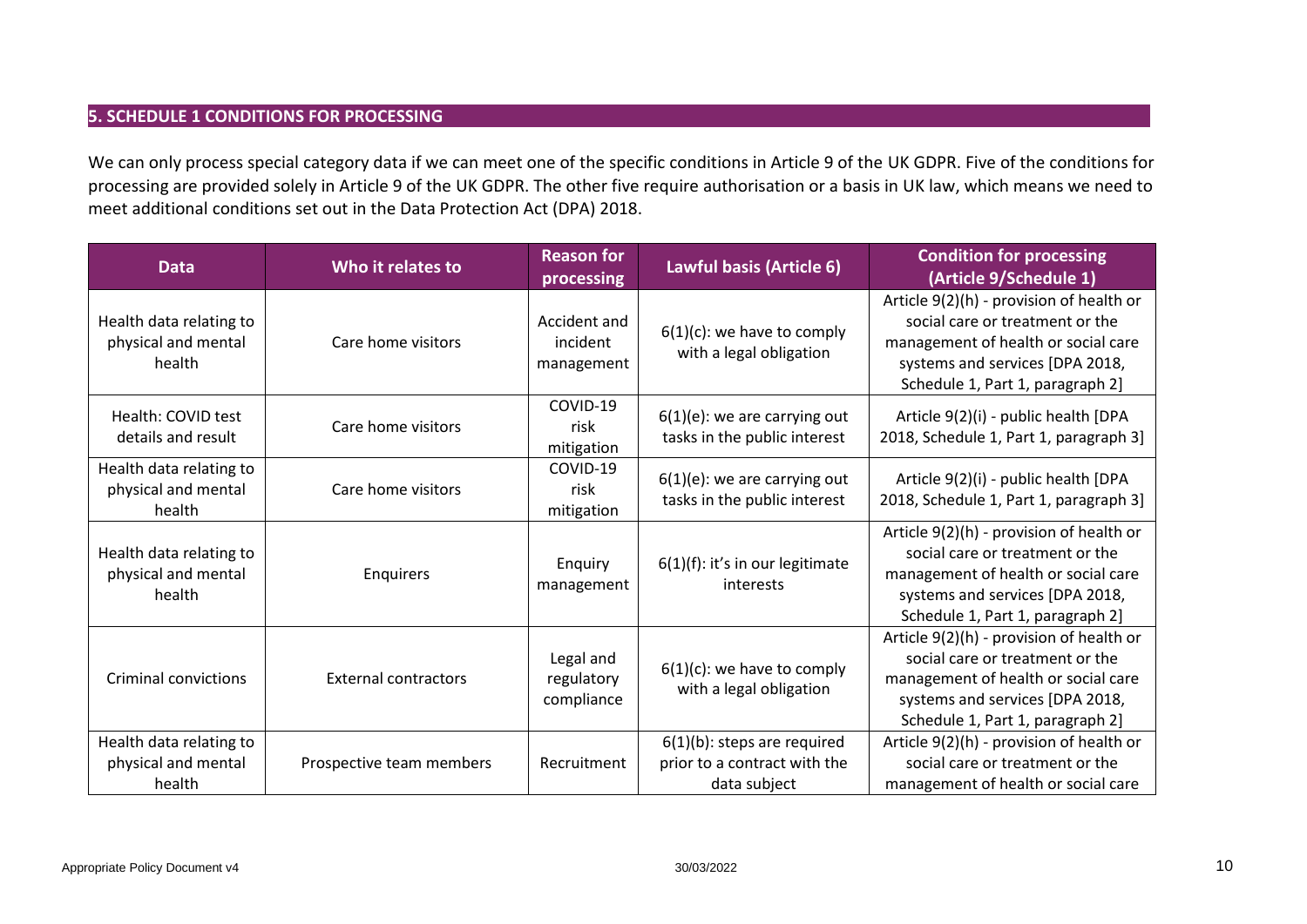## **5. SCHEDULE 1 CONDITIONS FOR PROCESSING**

We can only process special category data if we can meet one of the specific conditions in Article 9 of the UK GDPR. Five of the conditions for processing are provided solely in Article 9 of the UK GDPR. The other five require authorisation or a basis in UK law, which means we need to meet additional conditions set out in the Data Protection Act (DPA) 2018.

<span id="page-9-0"></span>

| <b>Data</b>                                              | Who it relates to           | <b>Reason for</b><br>processing        | Lawful basis (Article 6)                                                       | <b>Condition for processing</b><br>(Article 9/Schedule 1)                                                                                                                                 |
|----------------------------------------------------------|-----------------------------|----------------------------------------|--------------------------------------------------------------------------------|-------------------------------------------------------------------------------------------------------------------------------------------------------------------------------------------|
| Health data relating to<br>physical and mental<br>health | Care home visitors          | Accident and<br>incident<br>management | $6(1)(c)$ : we have to comply<br>with a legal obligation                       | Article 9(2)(h) - provision of health or<br>social care or treatment or the<br>management of health or social care<br>systems and services [DPA 2018,<br>Schedule 1, Part 1, paragraph 2] |
| Health: COVID test<br>details and result                 | Care home visitors          | COVID-19<br>risk<br>mitigation         | $6(1)(e)$ : we are carrying out<br>tasks in the public interest                | Article 9(2)(i) - public health [DPA<br>2018, Schedule 1, Part 1, paragraph 3]                                                                                                            |
| Health data relating to<br>physical and mental<br>health | Care home visitors          | COVID-19<br>risk<br>mitigation         | $6(1)(e)$ : we are carrying out<br>tasks in the public interest                | Article 9(2)(i) - public health [DPA<br>2018, Schedule 1, Part 1, paragraph 3]                                                                                                            |
| Health data relating to<br>physical and mental<br>health | Enquirers                   | Enquiry<br>management                  | $6(1)(f)$ : it's in our legitimate<br>interests                                | Article 9(2)(h) - provision of health or<br>social care or treatment or the<br>management of health or social care<br>systems and services [DPA 2018,<br>Schedule 1, Part 1, paragraph 2] |
| <b>Criminal convictions</b>                              | <b>External contractors</b> | Legal and<br>regulatory<br>compliance  | $6(1)(c)$ : we have to comply<br>with a legal obligation                       | Article 9(2)(h) - provision of health or<br>social care or treatment or the<br>management of health or social care<br>systems and services [DPA 2018,<br>Schedule 1, Part 1, paragraph 2] |
| Health data relating to<br>physical and mental<br>health | Prospective team members    | Recruitment                            | $6(1)(b)$ : steps are required<br>prior to a contract with the<br>data subject | Article 9(2)(h) - provision of health or<br>social care or treatment or the<br>management of health or social care                                                                        |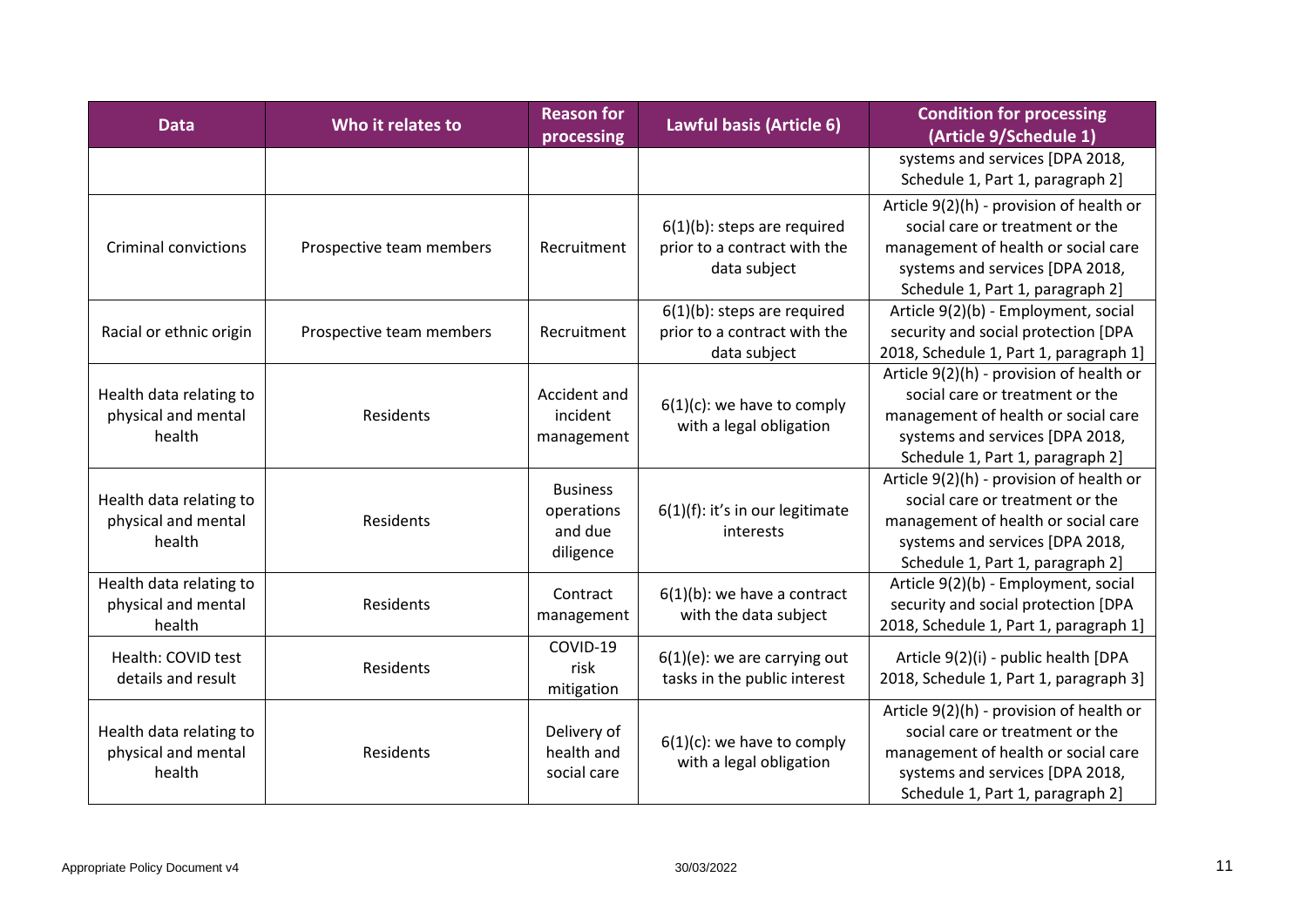| <b>Data</b>                                              | Who it relates to        | <b>Reason for</b><br>processing                       | Lawful basis (Article 6)                                                       | <b>Condition for processing</b><br>(Article 9/Schedule 1)                                                                                                                                 |
|----------------------------------------------------------|--------------------------|-------------------------------------------------------|--------------------------------------------------------------------------------|-------------------------------------------------------------------------------------------------------------------------------------------------------------------------------------------|
|                                                          |                          |                                                       |                                                                                | systems and services [DPA 2018,<br>Schedule 1, Part 1, paragraph 2]                                                                                                                       |
| <b>Criminal convictions</b>                              | Prospective team members | Recruitment                                           | $6(1)(b)$ : steps are required<br>prior to a contract with the<br>data subject | Article 9(2)(h) - provision of health or<br>social care or treatment or the<br>management of health or social care<br>systems and services [DPA 2018,<br>Schedule 1, Part 1, paragraph 2] |
| Racial or ethnic origin                                  | Prospective team members | Recruitment                                           | $6(1)(b)$ : steps are required<br>prior to a contract with the<br>data subject | Article 9(2)(b) - Employment, social<br>security and social protection [DPA<br>2018, Schedule 1, Part 1, paragraph 1]                                                                     |
| Health data relating to<br>physical and mental<br>health | Residents                | Accident and<br>incident<br>management                | $6(1)(c)$ : we have to comply<br>with a legal obligation                       | Article 9(2)(h) - provision of health or<br>social care or treatment or the<br>management of health or social care<br>systems and services [DPA 2018,<br>Schedule 1, Part 1, paragraph 2] |
| Health data relating to<br>physical and mental<br>health | Residents                | <b>Business</b><br>operations<br>and due<br>diligence | $6(1)(f)$ : it's in our legitimate<br>interests                                | Article 9(2)(h) - provision of health or<br>social care or treatment or the<br>management of health or social care<br>systems and services [DPA 2018,<br>Schedule 1, Part 1, paragraph 2] |
| Health data relating to<br>physical and mental<br>health | Residents                | Contract<br>management                                | $6(1)(b)$ : we have a contract<br>with the data subject                        | Article 9(2)(b) - Employment, social<br>security and social protection [DPA<br>2018, Schedule 1, Part 1, paragraph 1]                                                                     |
| Health: COVID test<br>details and result                 | Residents                | COVID-19<br>risk<br>mitigation                        | $6(1)(e)$ : we are carrying out<br>tasks in the public interest                | Article 9(2)(i) - public health [DPA<br>2018, Schedule 1, Part 1, paragraph 3]                                                                                                            |
| Health data relating to<br>physical and mental<br>health | Residents                | Delivery of<br>health and<br>social care              | $6(1)(c)$ : we have to comply<br>with a legal obligation                       | Article 9(2)(h) - provision of health or<br>social care or treatment or the<br>management of health or social care<br>systems and services [DPA 2018,<br>Schedule 1, Part 1, paragraph 2] |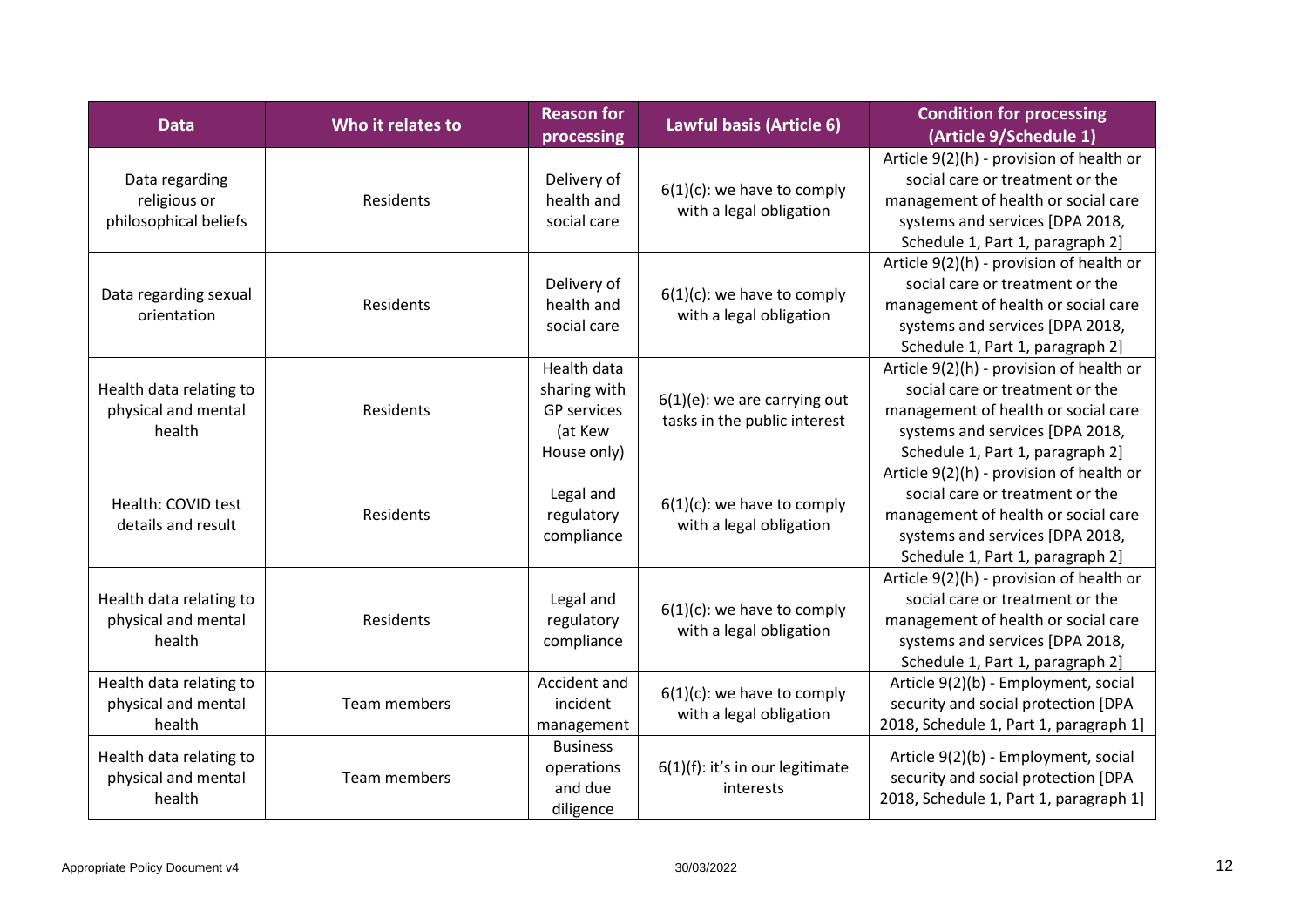| <b>Data</b>                                              | Who it relates to | <b>Reason for</b><br>processing                                                    | Lawful basis (Article 6)                                        | <b>Condition for processing</b><br>(Article 9/Schedule 1)                                                                                                                                 |
|----------------------------------------------------------|-------------------|------------------------------------------------------------------------------------|-----------------------------------------------------------------|-------------------------------------------------------------------------------------------------------------------------------------------------------------------------------------------|
| Data regarding<br>religious or<br>philosophical beliefs  | Residents         | Delivery of<br>health and<br>social care                                           | $6(1)(c)$ : we have to comply<br>with a legal obligation        | Article 9(2)(h) - provision of health or<br>social care or treatment or the<br>management of health or social care<br>systems and services [DPA 2018,<br>Schedule 1, Part 1, paragraph 2] |
| Data regarding sexual<br>orientation                     | Residents         | Delivery of<br>health and<br>social care                                           | $6(1)(c)$ : we have to comply<br>with a legal obligation        | Article 9(2)(h) - provision of health or<br>social care or treatment or the<br>management of health or social care<br>systems and services [DPA 2018,<br>Schedule 1, Part 1, paragraph 2] |
| Health data relating to<br>physical and mental<br>health | Residents         | <b>Health data</b><br>sharing with<br><b>GP</b> services<br>(at Kew<br>House only) | $6(1)(e)$ : we are carrying out<br>tasks in the public interest | Article 9(2)(h) - provision of health or<br>social care or treatment or the<br>management of health or social care<br>systems and services [DPA 2018,<br>Schedule 1, Part 1, paragraph 2] |
| Health: COVID test<br>details and result                 | Residents         | Legal and<br>regulatory<br>compliance                                              | $6(1)(c)$ : we have to comply<br>with a legal obligation        | Article 9(2)(h) - provision of health or<br>social care or treatment or the<br>management of health or social care<br>systems and services [DPA 2018,<br>Schedule 1, Part 1, paragraph 2] |
| Health data relating to<br>physical and mental<br>health | Residents         | Legal and<br>regulatory<br>compliance                                              | $6(1)(c)$ : we have to comply<br>with a legal obligation        | Article 9(2)(h) - provision of health or<br>social care or treatment or the<br>management of health or social care<br>systems and services [DPA 2018,<br>Schedule 1, Part 1, paragraph 2] |
| Health data relating to<br>physical and mental<br>health | Team members      | Accident and<br>incident<br>management                                             | $6(1)(c)$ : we have to comply<br>with a legal obligation        | Article 9(2)(b) - Employment, social<br>security and social protection [DPA<br>2018, Schedule 1, Part 1, paragraph 1]                                                                     |
| Health data relating to<br>physical and mental<br>health | Team members      | <b>Business</b><br>operations<br>and due<br>diligence                              | 6(1)(f): it's in our legitimate<br>interests                    | Article 9(2)(b) - Employment, social<br>security and social protection [DPA<br>2018, Schedule 1, Part 1, paragraph 1]                                                                     |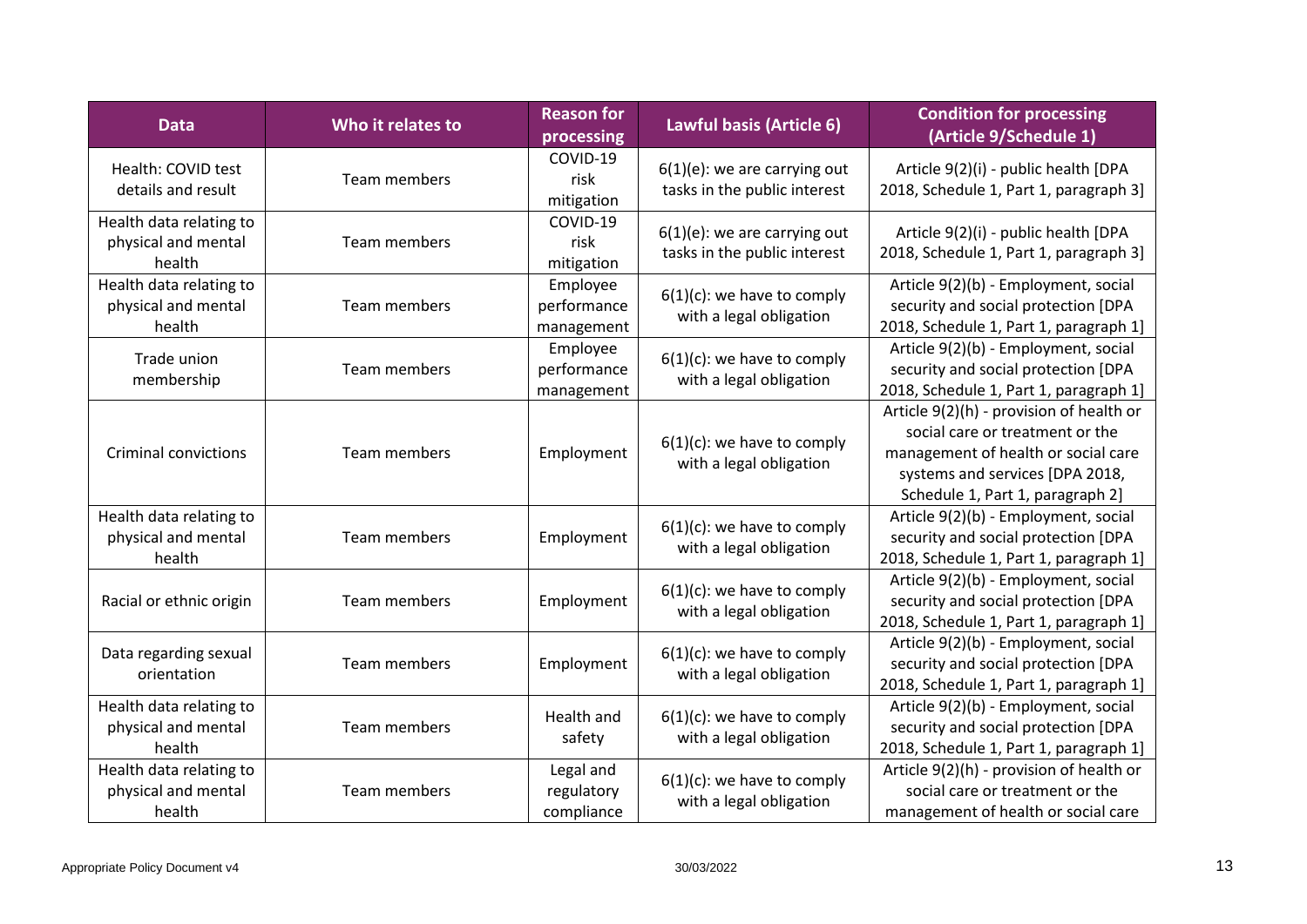| <b>Data</b>                                              | Who it relates to   | <b>Reason for</b><br>processing       | Lawful basis (Article 6)                                        | <b>Condition for processing</b><br>(Article 9/Schedule 1)                                                                                                                                 |
|----------------------------------------------------------|---------------------|---------------------------------------|-----------------------------------------------------------------|-------------------------------------------------------------------------------------------------------------------------------------------------------------------------------------------|
| Health: COVID test<br>details and result                 | Team members        | COVID-19<br>risk<br>mitigation        | $6(1)(e)$ : we are carrying out<br>tasks in the public interest | Article 9(2)(i) - public health [DPA<br>2018, Schedule 1, Part 1, paragraph 3]                                                                                                            |
| Health data relating to<br>physical and mental<br>health | Team members        | COVID-19<br>risk<br>mitigation        | $6(1)(e)$ : we are carrying out<br>tasks in the public interest | Article 9(2)(i) - public health [DPA<br>2018, Schedule 1, Part 1, paragraph 3]                                                                                                            |
| Health data relating to<br>physical and mental<br>health | Team members        | Employee<br>performance<br>management | $6(1)(c)$ : we have to comply<br>with a legal obligation        | Article 9(2)(b) - Employment, social<br>security and social protection [DPA<br>2018, Schedule 1, Part 1, paragraph 1]                                                                     |
| Trade union<br>membership                                | Team members        | Employee<br>performance<br>management | $6(1)(c)$ : we have to comply<br>with a legal obligation        | Article 9(2)(b) - Employment, social<br>security and social protection [DPA<br>2018, Schedule 1, Part 1, paragraph 1]                                                                     |
| <b>Criminal convictions</b>                              | <b>Team members</b> | Employment                            | $6(1)(c)$ : we have to comply<br>with a legal obligation        | Article 9(2)(h) - provision of health or<br>social care or treatment or the<br>management of health or social care<br>systems and services [DPA 2018,<br>Schedule 1, Part 1, paragraph 2] |
| Health data relating to<br>physical and mental<br>health | Team members        | Employment                            | $6(1)(c)$ : we have to comply<br>with a legal obligation        | Article 9(2)(b) - Employment, social<br>security and social protection [DPA<br>2018, Schedule 1, Part 1, paragraph 1]                                                                     |
| Racial or ethnic origin                                  | Team members        | Employment                            | $6(1)(c)$ : we have to comply<br>with a legal obligation        | Article 9(2)(b) - Employment, social<br>security and social protection [DPA<br>2018, Schedule 1, Part 1, paragraph 1]                                                                     |
| Data regarding sexual<br>orientation                     | Team members        | Employment                            | $6(1)(c)$ : we have to comply<br>with a legal obligation        | Article 9(2)(b) - Employment, social<br>security and social protection [DPA<br>2018, Schedule 1, Part 1, paragraph 1]                                                                     |
| Health data relating to<br>physical and mental<br>health | Team members        | Health and<br>safety                  | $6(1)(c)$ : we have to comply<br>with a legal obligation        | Article 9(2)(b) - Employment, social<br>security and social protection [DPA<br>2018, Schedule 1, Part 1, paragraph 1]                                                                     |
| Health data relating to<br>physical and mental<br>health | Team members        | Legal and<br>regulatory<br>compliance | $6(1)(c)$ : we have to comply<br>with a legal obligation        | Article 9(2)(h) - provision of health or<br>social care or treatment or the<br>management of health or social care                                                                        |